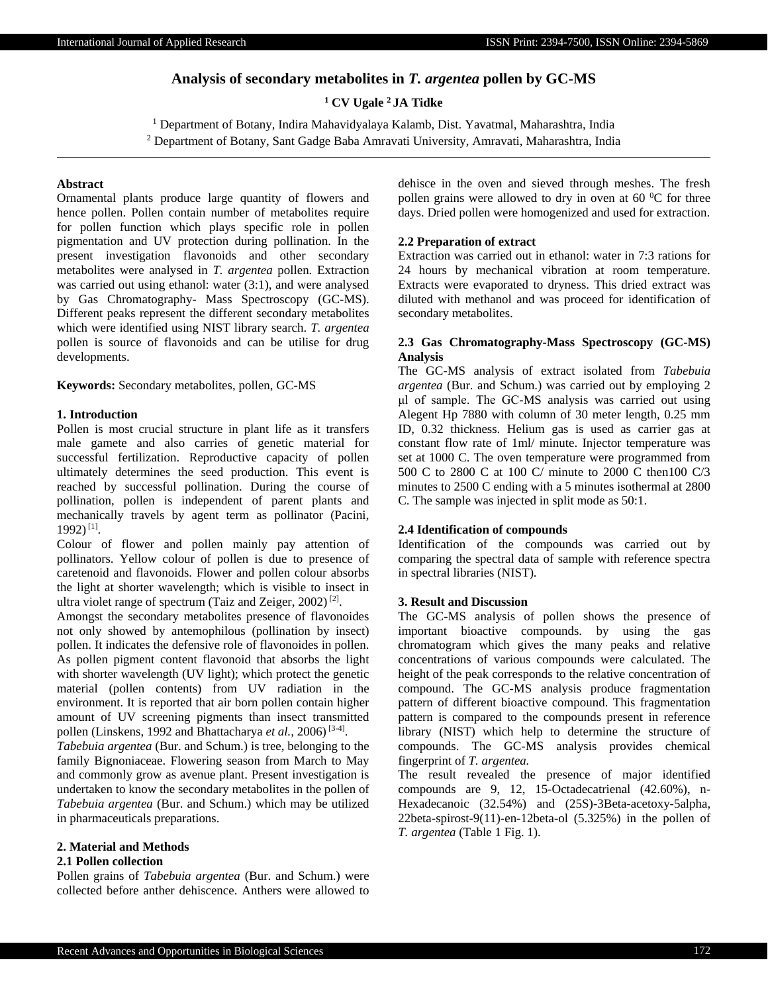# **Analysis of secondary metabolites in** *T. argentea* **pollen by GC-MS**

**<sup>1</sup> CV Ugale <sup>2</sup> JA Tidke**

<sup>1</sup> Department of Botany, Indira Mahavidyalaya Kalamb, Dist. Yavatmal, Maharashtra, India <sup>2</sup> Department of Botany, Sant Gadge Baba Amravati University, Amravati, Maharashtra, India

# **Abstract**

Ornamental plants produce large quantity of flowers and hence pollen. Pollen contain number of metabolites require for pollen function which plays specific role in pollen pigmentation and UV protection during pollination. In the present investigation flavonoids and other secondary metabolites were analysed in *T. argentea* pollen. Extraction was carried out using ethanol: water (3:1), and were analysed by Gas Chromatography- Mass Spectroscopy (GC-MS). Different peaks represent the different secondary metabolites which were identified using NIST library search. *T. argentea* pollen is source of flavonoids and can be utilise for drug developments.

**Keywords:** Secondary metabolites, pollen, GC-MS

### **1. Introduction**

Pollen is most crucial structure in plant life as it transfers male gamete and also carries of genetic material for successful fertilization. Reproductive capacity of pollen ultimately determines the seed production. This event is reached by successful pollination. During the course of pollination, pollen is independent of parent plants and mechanically travels by agent term as pollinator (Pacini,  $1992)$ <sup>[1]</sup>.

Colour of flower and pollen mainly pay attention of pollinators. Yellow colour of pollen is due to presence of caretenoid and flavonoids. Flower and pollen colour absorbs the light at shorter wavelength; which is visible to insect in ultra violet range of spectrum (Taiz and Zeiger, 2002)<sup>[2]</sup>.

Amongst the secondary metabolites presence of flavonoides not only showed by antemophilous (pollination by insect) pollen. It indicates the defensive role of flavonoides in pollen. As pollen pigment content flavonoid that absorbs the light with shorter wavelength (UV light); which protect the genetic material (pollen contents) from UV radiation in the environment. It is reported that air born pollen contain higher amount of UV screening pigments than insect transmitted pollen (Linskens, 1992 and Bhattacharya et al., 2006)<sup>[3-4]</sup>.

*Tabebuia argentea* (Bur. and Schum.) is tree, belonging to the family Bignoniaceae. Flowering season from March to May and commonly grow as avenue plant. Present investigation is undertaken to know the secondary metabolites in the pollen of *Tabebuia argentea* (Bur. and Schum.) which may be utilized in pharmaceuticals preparations.

## **2. Material and Methods**

# **2.1 Pollen collection**

Pollen grains of *Tabebuia argentea* (Bur. and Schum.) were collected before anther dehiscence. Anthers were allowed to

dehisce in the oven and sieved through meshes. The fresh pollen grains were allowed to dry in oven at 60 °C for three days. Dried pollen were homogenized and used for extraction.

#### **2.2 Preparation of extract**

Extraction was carried out in ethanol: water in 7:3 rations for 24 hours by mechanical vibration at room temperature. Extracts were evaporated to dryness. This dried extract was diluted with methanol and was proceed for identification of secondary metabolites.

# **2.3 Gas Chromatography-Mass Spectroscopy (GC-MS) Analysis**

The GC-MS analysis of extract isolated from *Tabebuia argentea* (Bur. and Schum.) was carried out by employing 2 μl of sample. The GC-MS analysis was carried out using Alegent Hp 7880 with column of 30 meter length, 0.25 mm ID, 0.32 thickness. Helium gas is used as carrier gas at constant flow rate of 1ml/ minute. Injector temperature was set at 1000 C. The oven temperature were programmed from 500 C to 2800 C at 100 C/ minute to 2000 C then100 C/3 minutes to 2500 C ending with a 5 minutes isothermal at 2800 C. The sample was injected in split mode as 50:1.

# **2.4 Identification of compounds**

Identification of the compounds was carried out by comparing the spectral data of sample with reference spectra in spectral libraries (NIST).

#### **3. Result and Discussion**

The GC-MS analysis of pollen shows the presence of important bioactive compounds. by using the gas chromatogram which gives the many peaks and relative concentrations of various compounds were calculated. The height of the peak corresponds to the relative concentration of compound. The GC-MS analysis produce fragmentation pattern of different bioactive compound. This fragmentation pattern is compared to the compounds present in reference library (NIST) which help to determine the structure of compounds. The GC-MS analysis provides chemical fingerprint of *T. argentea.* 

The result revealed the presence of major identified compounds are 9, 12, 15-Octadecatrienal (42.60%), n-Hexadecanoic (32.54%) and (25S)-3Beta-acetoxy-5alpha, 22beta-spirost-9(11)-en-12beta-ol (5.325%) in the pollen of *T. argentea* (Table 1 Fig. 1).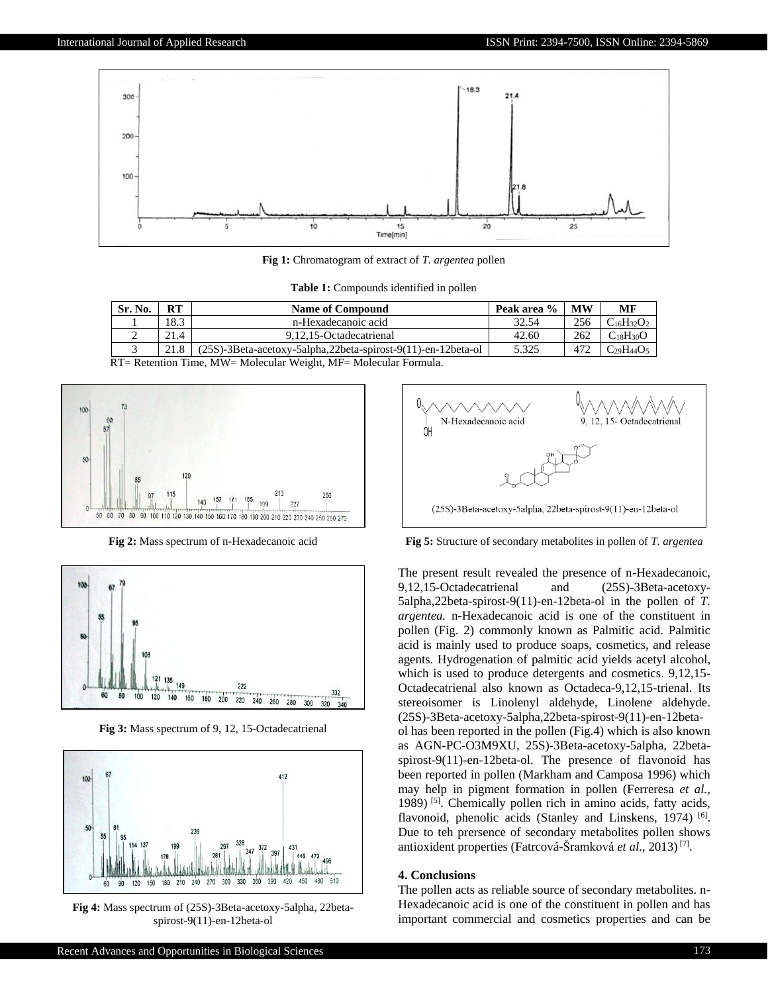

**Fig 1:** Chromatogram of extract of *T. argentea* pollen

**Table 1:** Compounds identified in pollen

| Sr. No. | RT   | <b>Name of Compound</b>                                         | Peak area % | <b>MW</b> | MF                                |
|---------|------|-----------------------------------------------------------------|-------------|-----------|-----------------------------------|
|         | 18.3 | n-Hexadecanoic acid                                             | 32.54       | 256       | $C_{16}H_{32}O_2$                 |
| ∸       | 21.4 | 9.12.15-Octadecatrienal                                         | 42.60       | 262       | C <sub>18</sub> H <sub>30</sub> O |
|         | 21.8 | $(25S)$ -3Beta-acetoxy-5alpha,22beta-spirost-9(11)-en-12beta-ol | 5.325       | 472       | $C_{29}H_{44}O_5$                 |

RT= Retention Time, MW= Molecular Weight, MF= Molecular Formula.



**Fig 2:** Mass spectrum of n-Hexadecanoic acid



**Fig 3:** Mass spectrum of 9, 12, 15-Octadecatrienal



**Fig 4:** Mass spectrum of (25S)-3Beta-acetoxy-5alpha, 22betaspirost-9(11)-en-12beta-ol



**Fig 5:** Structure of secondary metabolites in pollen of *T. argentea*

The present result revealed the presence of n-Hexadecanoic, 9,12,15-Octadecatrienal and (25S)-3Beta-acetoxy-5alpha,22beta-spirost-9(11)-en-12beta-ol in the pollen of *T. argentea.* n-Hexadecanoic acid is one of the constituent in pollen (Fig. 2) commonly known as Palmitic acid. Palmitic acid is mainly used to produce soaps, cosmetics, and release agents. Hydrogenation of palmitic acid yields acetyl alcohol, which is used to produce detergents and cosmetics. 9,12,15- Octadecatrienal also known as Octadeca-9,12,15-trienal. Its stereoisomer is Linolenyl aldehyde, Linolene aldehyde. (25S)-3Beta-acetoxy-5alpha,22beta-spirost-9(11)-en-12betaol has been reported in the pollen (Fig.4) which is also known as AGN-PC-O3M9XU, 25S)-3Beta-acetoxy-5alpha, 22betaspirost-9(11)-en-12beta-ol. The presence of flavonoid has been reported in pollen (Markham and Camposa 1996) which may help in pigment formation in pollen (Ferreresa *et al.,*  1989)  $[5]$ . Chemically pollen rich in amino acids, fatty acids, flavonoid, phenolic acids (Stanley and Linskens, 1974)<sup>[6]</sup>. Due to teh prersence of secondary metabolites pollen shows antioxident properties (Fatrcová-Šramková *et al.*, 2013)<sup>[7]</sup>.

## **4. Conclusions**

The pollen acts as reliable source of secondary metabolites. n-Hexadecanoic acid is one of the constituent in pollen and has important commercial and cosmetics properties and can be